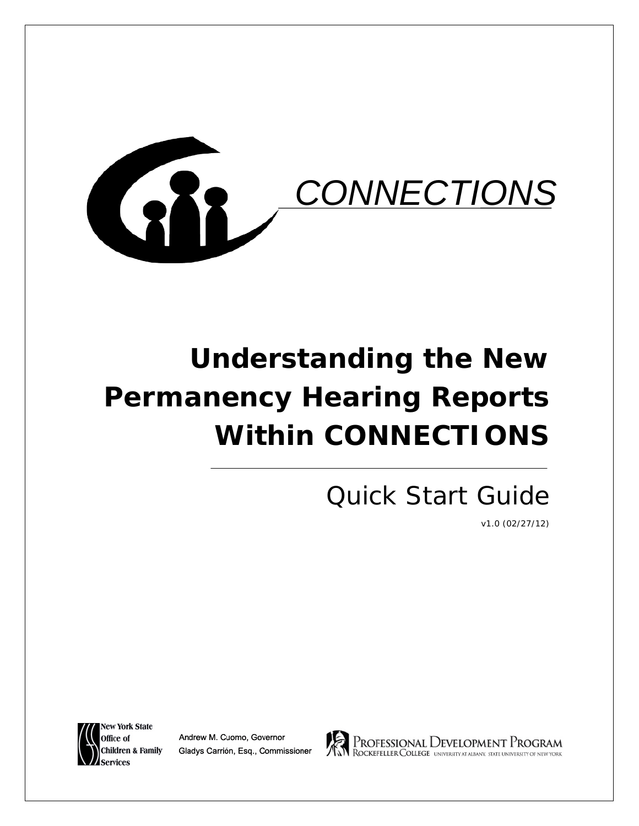

# **Understanding the New Permanency Hearing Reports Within CONNECTIONS**

# Quick Start Guide

v1.0 (02/27/12)



Andrew M. Cuomo, Governor Gladys Carrión, Esq., Commissioner



PROFESSIONAL DEVELOPMENT PROGRAM<br>ROCKEFELLER COLLEGE UNIVERSITY AT ALBANY. STATE UNIVERSITY OF NEW YORK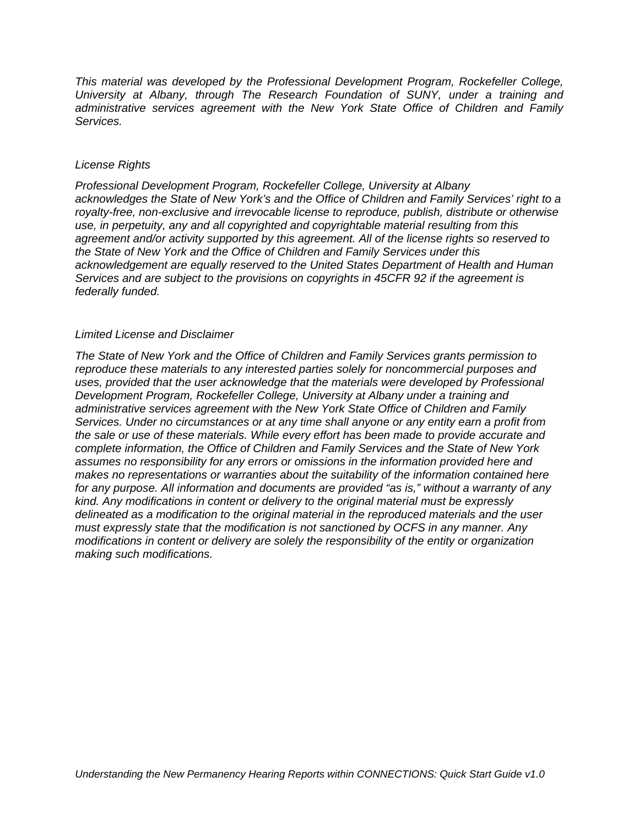*This material was developed by the Professional Development Program, Rockefeller College, University at Albany, through The Research Foundation of SUNY, under a training and administrative services agreement with the New York State Office of Children and Family Services.*

#### *License Rights*

*Professional Development Program, Rockefeller College, University at Albany acknowledges the State of New York's and the Office of Children and Family Services' right to a royalty-free, non-exclusive and irrevocable license to reproduce, publish, distribute or otherwise use, in perpetuity, any and all copyrighted and copyrightable material resulting from this agreement and/or activity supported by this agreement. All of the license rights so reserved to the State of New York and the Office of Children and Family Services under this acknowledgement are equally reserved to the United States Department of Health and Human Services and are subject to the provisions on copyrights in 45CFR 92 if the agreement is federally funded.*

#### *Limited License and Disclaimer*

*The State of New York and the Office of Children and Family Services grants permission to reproduce these materials to any interested parties solely for noncommercial purposes and uses, provided that the user acknowledge that the materials were developed by Professional Development Program, Rockefeller College, University at Albany under a training and administrative services agreement with the New York State Office of Children and Family Services. Under no circumstances or at any time shall anyone or any entity earn a profit from the sale or use of these materials. While every effort has been made to provide accurate and complete information, the Office of Children and Family Services and the State of New York assumes no responsibility for any errors or omissions in the information provided here and makes no representations or warranties about the suitability of the information contained here for any purpose. All information and documents are provided "as is," without a warranty of any kind. Any modifications in content or delivery to the original material must be expressly delineated as a modification to the original material in the reproduced materials and the user must expressly state that the modification is not sanctioned by OCFS in any manner. Any modifications in content or delivery are solely the responsibility of the entity or organization making such modifications.*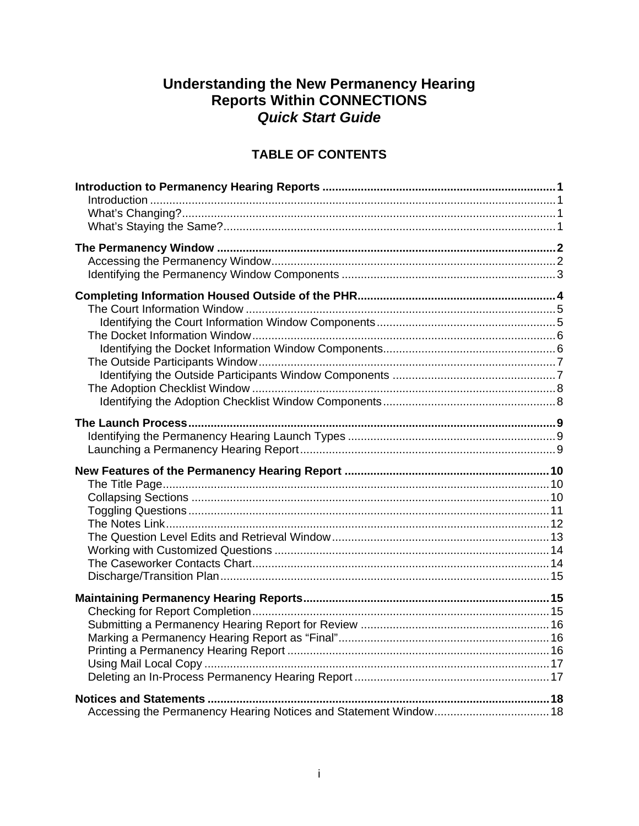# Understanding the New Permanency Hearing<br>Reports Within CONNECTIONS **Quick Start Guide**

#### **TABLE OF CONTENTS**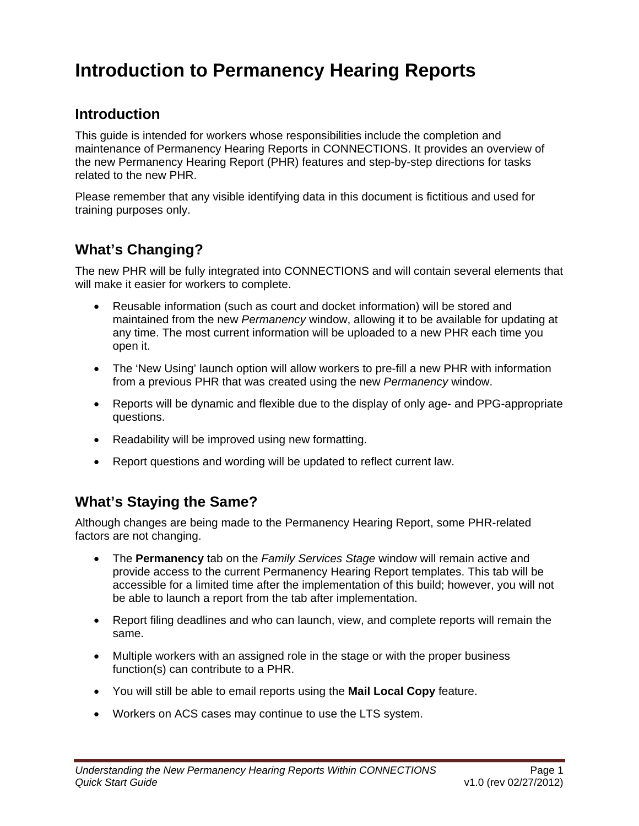# <span id="page-4-0"></span>**Introduction to Permanency Hearing Reports**

#### **Introduction**

This guide is intended for workers whose responsibilities include the completion and maintenance of Permanency Hearing Reports in CONNECTIONS. It provides an overview of the new Permanency Hearing Report (PHR) features and step-by-step directions for tasks related to the new PHR.

Please remember that any visible identifying data in this document is fictitious and used for training purposes only.

### **What's Changing?**

The new PHR will be fully integrated into CONNECTIONS and will contain several elements that will make it easier for workers to complete.

- Reusable information (such as court and docket information) will be stored and maintained from the new *Permanency* window, allowing it to be available for updating at any time. The most current information will be uploaded to a new PHR each time you open it.
- The 'New Using' launch option will allow workers to pre-fill a new PHR with information from a previous PHR that was created using the new *Permanency* window.
- Reports will be dynamic and flexible due to the display of only age- and PPG-appropriate questions.
- Readability will be improved using new formatting.
- Report questions and wording will be updated to reflect current law.

#### **What's Staying the Same?**

Although changes are being made to the Permanency Hearing Report, some PHR-related factors are not changing.

- The **Permanency** tab on the *Family Services Stage* window will remain active and provide access to the current Permanency Hearing Report templates. This tab will be accessible for a limited time after the implementation of this build; however, you will not be able to launch a report from the tab after implementation.
- Report filing deadlines and who can launch, view, and complete reports will remain the same.
- Multiple workers with an assigned role in the stage or with the proper business function(s) can contribute to a PHR.
- You will still be able to email reports using the **Mail Local Copy** feature.
- Workers on ACS cases may continue to use the LTS system.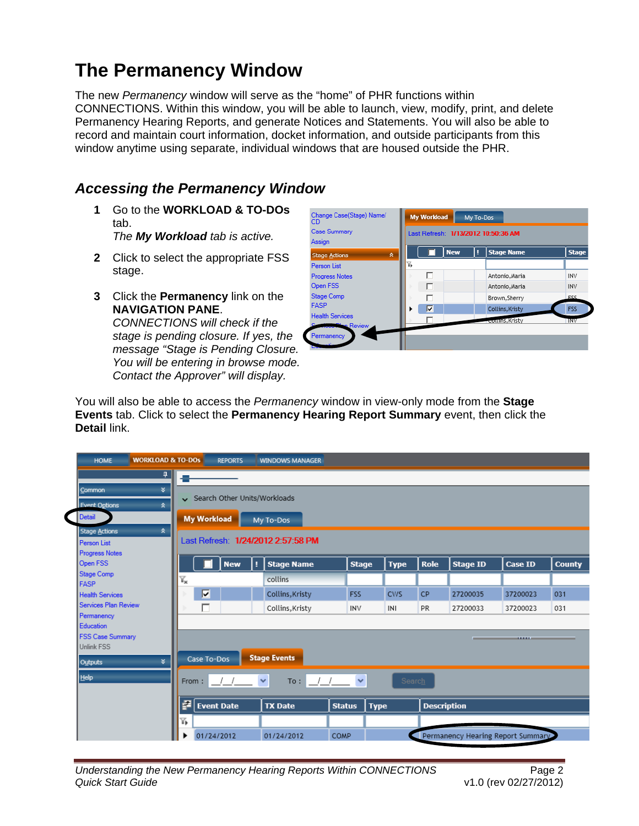# <span id="page-5-0"></span>**The Permanency Window**

The new *Permanency* window will serve as the "home" of PHR functions within CONNECTIONS. Within this window, you will be able to launch, view, modify, print, and delete Permanency Hearing Reports, and generate Notices and Statements. You will also be able to record and maintain court information, docket information, and outside participants from this window anytime using separate, individual windows that are housed outside the PHR.

### *Accessing the Permanency Window*

**1** Go to the **WORKLOAD & TO-DOs** tab.

*The My Workload tab is active.*

- **2** Click to select the appropriate FSS stage.
- **3** Click the **Permanency** link on the **NAVIGATION PANE**.

*CONNECTIONS will check if the stage is pending closure. If yes, the message "Stage is Pending Closure. You will be entering in browse mode. Contact the Approver" will display.*



You will also be able to access the *Permanency* window in view-only mode from the **Stage Events** tab. Click to select the **Permanency Hearing Report Summary** event, then click the **Detail** link.

| <b>WORKLOAD &amp; TO-DOS</b><br><b>HOME</b> |                                                                  | <b>REPORTS</b>               |   | <b>WINDOWS MANAGER</b> |                            |                         |             |                    |                                   |                   |               |
|---------------------------------------------|------------------------------------------------------------------|------------------------------|---|------------------------|----------------------------|-------------------------|-------------|--------------------|-----------------------------------|-------------------|---------------|
| $\vert \mathbf{u} \vert$                    |                                                                  |                              |   |                        |                            |                         |             |                    |                                   |                   |               |
| ¥.<br>Common                                |                                                                  |                              |   |                        |                            |                         |             |                    |                                   |                   |               |
| <b>Event Options</b><br>$\hat{\mathbf{x}}$  |                                                                  | Search Other Units/Workloads |   |                        |                            |                         |             |                    |                                   |                   |               |
| Detail                                      | <b>My Workload</b><br>My To-Dos                                  |                              |   |                        |                            |                         |             |                    |                                   |                   |               |
| ☆<br><b>Stage Actions</b>                   |                                                                  |                              |   |                        |                            |                         |             |                    |                                   |                   |               |
| <b>Person List</b>                          | Last Refresh: 1/24/2012 2:57:58 PM                               |                              |   |                        |                            |                         |             |                    |                                   |                   |               |
| <b>Progress Notes</b>                       |                                                                  |                              |   |                        |                            |                         |             |                    |                                   |                   |               |
| Open FSS                                    |                                                                  | <b>New</b>                   | п | <b>Stage Name</b>      |                            | <b>Stage</b>            | <b>Type</b> | <b>Role</b>        | <b>Stage ID</b>                   | <b>Case ID</b>    | <b>County</b> |
| <b>Stage Comp</b>                           | ¥,                                                               |                              |   | collins                |                            |                         |             |                    |                                   |                   |               |
|                                             | <b>FASP</b><br>$\overline{\mathbf{v}}$<br><b>Health Services</b> |                              |   |                        | <b>FSS</b>                 | <b>CWS</b><br><b>CP</b> | 27200035    | 37200023           |                                   |                   |               |
|                                             |                                                                  |                              |   | Collins, Kristy        |                            |                         |             |                    | 031                               |                   |               |
| Services Plan Review                        | г                                                                |                              |   | Collins, Kristy        | <b>INV</b>                 |                         | INI         | PR                 | 27200033                          | 37200023          | 031           |
| Permanency<br>Education                     |                                                                  |                              |   |                        |                            |                         |             |                    |                                   |                   |               |
| <b>FSS Case Summary</b>                     |                                                                  |                              |   |                        |                            |                         |             |                    |                                   |                   |               |
| <b>Unlink FSS</b>                           |                                                                  |                              |   |                        |                            |                         |             |                    |                                   | <b>STATISTICS</b> |               |
| ¥.<br>Outputs                               | Case To-Dos                                                      |                              |   | <b>Stage Events</b>    |                            |                         |             |                    |                                   |                   |               |
| He                                          | From:                                                            |                              |   | $\checkmark$<br>To:    | $\checkmark$<br>$\sqrt{1}$ |                         | Search      |                    |                                   |                   |               |
|                                             | P                                                                | <b>Event Date</b>            |   | <b>TX Date</b>         | <b>Status</b>              | <b>Type</b>             |             | <b>Description</b> |                                   |                   |               |
|                                             | 匹                                                                |                              |   |                        |                            |                         |             |                    |                                   |                   |               |
|                                             |                                                                  | 01/24/2012                   |   | 01/24/2012             | COMP                       |                         |             |                    | Permanency Hearing Report Summary |                   |               |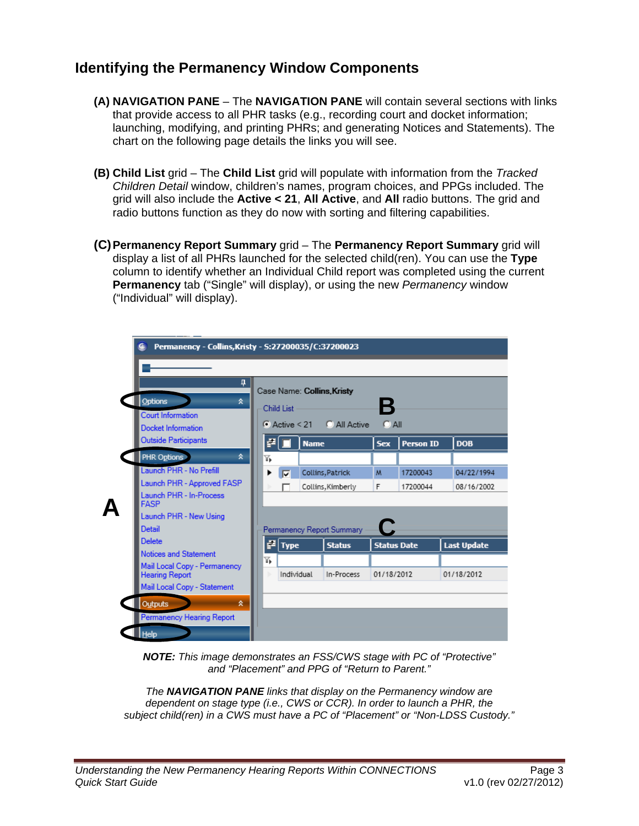#### <span id="page-6-0"></span>**Identifying the Permanency Window Components**

- **(A) NAVIGATION PANE** The **NAVIGATION PANE** will contain several sections with links that provide access to all PHR tasks (e.g., recording court and docket information; launching, modifying, and printing PHRs; and generating Notices and Statements). The chart on the following page details the links you will see.
- **(B) Child List** grid The **Child List** grid will populate with information from the *Tracked Children Detail* window, children's names, program choices, and PPGs included. The grid will also include the **Active < 21**, **All Active**, and **All** radio buttons. The grid and radio buttons function as they do now with sorting and filtering capabilities.
- **(C)Permanency Report Summary** grid The **Permanency Report Summary** grid will display a list of all PHRs launched for the selected child(ren). You can use the **Type** column to identify whether an Individual Child report was completed using the current **Permanency** tab ("Single" will display), or using the new *Permanency* window ("Individual" will display).



*NOTE: This image demonstrates an FSS/CWS stage with PC of "Protective" and "Placement" and PPG of "Return to Parent."* 

*The NAVIGATION PANE links that display on the Permanency window are dependent on stage type (i.e., CWS or CCR). In order to launch a PHR, the subject child(ren) in a CWS must have a PC of "Placement" or "Non-LDSS Custody."*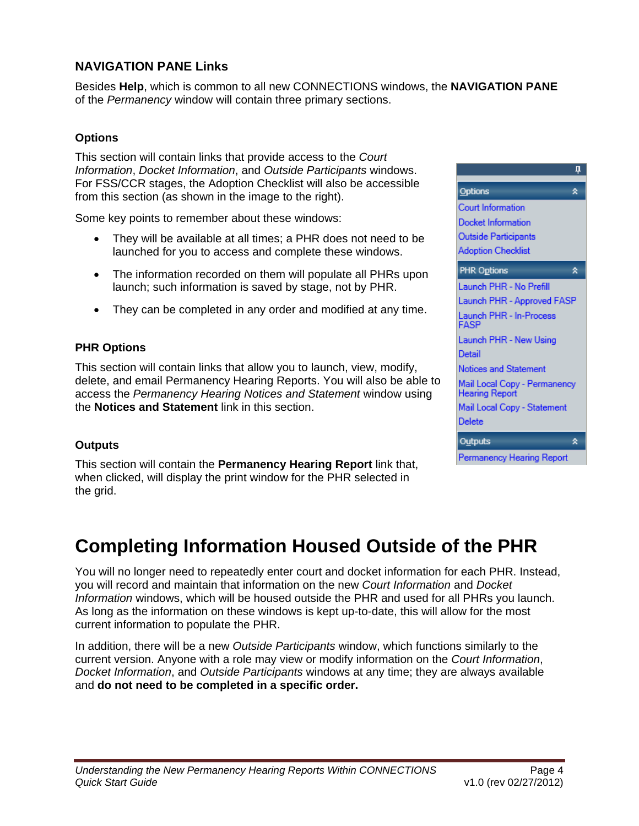#### <span id="page-7-0"></span>**NAVIGATION PANE Links**

Besides **Help**, which is common to all new CONNECTIONS windows, the **NAVIGATION PANE** of the *Permanency* window will contain three primary sections.

#### **Options**

This section will contain links that provide access to the *Court Information*, *Docket Information*, and *Outside Participants* windows. For FSS/CCR stages, the Adoption Checklist will also be accessible from this section (as shown in the image to the right).

Some key points to remember about these windows:

- They will be available at all times; a PHR does not need to be launched for you to access and complete these windows.
- The information recorded on them will populate all PHRs upon launch; such information is saved by stage, not by PHR.
- They can be completed in any order and modified at any time.

#### **PHR Options**

This section will contain links that allow you to launch, view, modify, delete, and email Permanency Hearing Reports. You will also be able to access the *Permanency Hearing Notices and Statement* window using the **Notices and Statement** link in this section.

#### **Outputs**

This section will contain the **Permanency Hearing Report** link that, when clicked, will display the print window for the PHR selected in the grid.



# **Completing Information Housed Outside of the PHR**

You will no longer need to repeatedly enter court and docket information for each PHR. Instead, you will record and maintain that information on the new *Court Information* and *Docket Information* windows, which will be housed outside the PHR and used for all PHRs you launch. As long as the information on these windows is kept up-to-date, this will allow for the most current information to populate the PHR.

In addition, there will be a new *Outside Participants* window, which functions similarly to the current version. Anyone with a role may view or modify information on the *Court Information*, *Docket Information*, and *Outside Participants* windows at any time; they are always available and **do not need to be completed in a specific order.**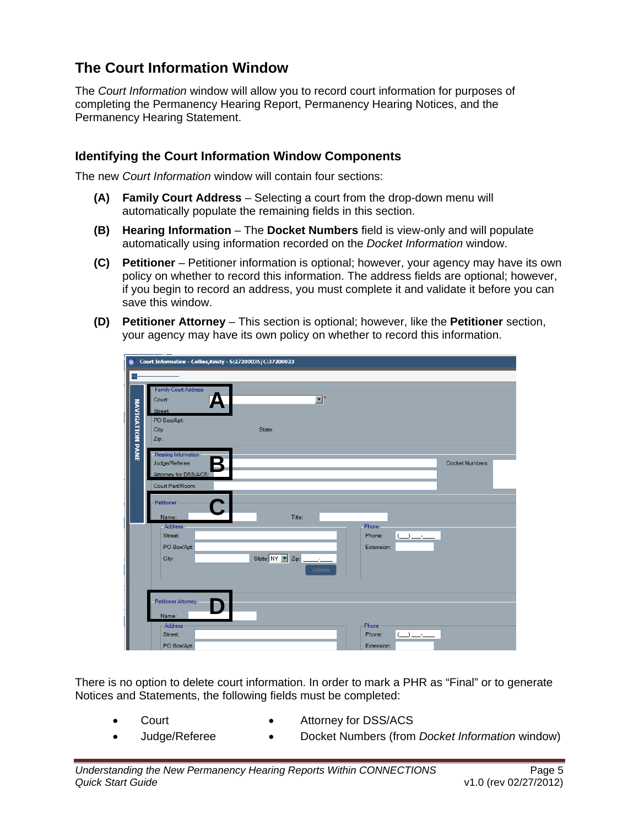## <span id="page-8-0"></span>**The Court Information Window**

The *Court Information* window will allow you to record court information for purposes of completing the Permanency Hearing Report, Permanency Hearing Notices, and the Permanency Hearing Statement.

#### **Identifying the Court Information Window Components**

The new *Court Information* window will contain four sections:

- **(A) Family Court Address** Selecting a court from the drop-down menu will automatically populate the remaining fields in this section.
- **(B) Hearing Information** The **Docket Numbers** field is view-only and will populate automatically using information recorded on the *Docket Information* window.
- **(C) Petitioner** Petitioner information is optional; however, your agency may have its own policy on whether to record this information. The address fields are optional; however, if you begin to record an address, you must complete it and validate it before you can save this window.
- **(D) Petitioner Attorney** This section is optional; however, like the **Petitioner** section, your agency may have its own policy on whether to record this information.

| $\bullet$              | Court Information - Collins, Kristy - S:27200035/C:37200023         |                                                           |                 |
|------------------------|---------------------------------------------------------------------|-----------------------------------------------------------|-----------------|
|                        |                                                                     |                                                           |                 |
|                        | <b>Family Court Address</b><br>Court:<br>Street:<br>PO Box/Apt:     | $\overline{\mathbf{v}}$ *                                 |                 |
| <b>NAVIGATION PANE</b> | City:<br>Zip:                                                       | State:                                                    |                 |
|                        | Hearing Information<br>Judge/Referee:<br>K<br>Attorney for DSS/ACS: |                                                           | Docket Numbers: |
|                        | Court Part/Room:                                                    |                                                           |                 |
|                        | Petitioner                                                          |                                                           |                 |
|                        | Name:                                                               | Title:                                                    |                 |
|                        | Address<br>Street:<br>PO Box/Apt:                                   | Phone<br>Phone:<br>$\overline{\phantom{a}}$<br>Extension: |                 |
|                        | City:                                                               | Validate                                                  |                 |
|                        |                                                                     |                                                           |                 |
|                        | Petitioner Attorney                                                 |                                                           |                 |
|                        | Name:                                                               |                                                           |                 |
|                        | Address<br>Street:                                                  | Phone<br>Phone:<br>$\cup$ $\overline{\phantom{a}}$        |                 |
|                        | PO Box/Apt:                                                         | Extension:                                                |                 |

There is no option to delete court information. In order to mark a PHR as "Final" or to generate Notices and Statements, the following fields must be completed:

- 
- Court Attorney for DSS/ACS
- Judge/Referee Docket Numbers (from *Docket Information* window)
- 
-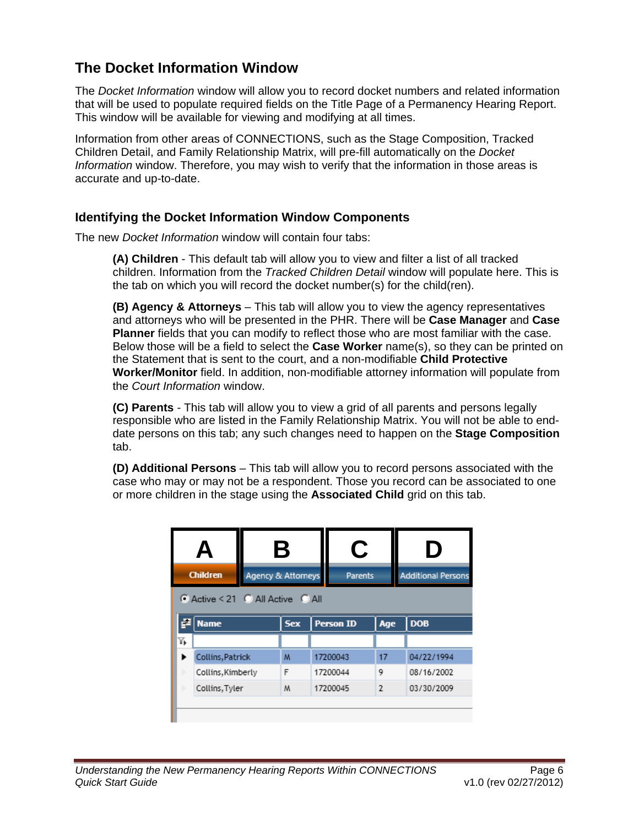#### <span id="page-9-0"></span>**The Docket Information Window**

The *Docket Information* window will allow you to record docket numbers and related information that will be used to populate required fields on the Title Page of a Permanency Hearing Report. This window will be available for viewing and modifying at all times.

Information from other areas of CONNECTIONS, such as the Stage Composition, Tracked Children Detail, and Family Relationship Matrix, will pre-fill automatically on the *Docket Information* window. Therefore, you may wish to verify that the information in those areas is accurate and up-to-date.

#### **Identifying the Docket Information Window Components**

The new *Docket Information* window will contain four tabs:

**(A) Children** - This default tab will allow you to view and filter a list of all tracked children. Information from the *Tracked Children Detail* window will populate here. This is the tab on which you will record the docket number(s) for the child(ren).

**(B) Agency & Attorneys** – This tab will allow you to view the agency representatives and attorneys who will be presented in the PHR. There will be **Case Manager** and **Case Planner** fields that you can modify to reflect those who are most familiar with the case. Below those will be a field to select the **Case Worker** name(s), so they can be printed on the Statement that is sent to the court, and a non-modifiable **Child Protective Worker/Monitor** field. In addition, non-modifiable attorney information will populate from the *Court Information* window.

**(C) Parents** - This tab will allow you to view a grid of all parents and persons legally responsible who are listed in the Family Relationship Matrix. You will not be able to enddate persons on this tab; any such changes need to happen on the **Stage Composition** tab.

**(D) Additional Persons** – This tab will allow you to record persons associated with the case who may or may not be a respondent. Those you record can be associated to one or more children in the stage using the **Associated Child** grid on this tab.

|                                  | А                 |   | Β                                    |  | C                |            | IJ                        |  |  |  |
|----------------------------------|-------------------|---|--------------------------------------|--|------------------|------------|---------------------------|--|--|--|
|                                  | <b>Children</b>   |   | Agency & Attorneys<br><b>Parents</b> |  |                  |            | <b>Additional Persons</b> |  |  |  |
| C Active < 21 C All Active C All |                   |   |                                      |  |                  |            |                           |  |  |  |
|                                  | <b>Name</b>       |   | <b>Sex</b>                           |  | <b>Person ID</b> | Age        | <b>DOB</b>                |  |  |  |
| Δ.                               |                   |   |                                      |  |                  |            |                           |  |  |  |
|                                  | Collins, Patrick  |   | M                                    |  | 17200043         |            | 04/22/1994                |  |  |  |
|                                  | Collins, Kimberly |   | F                                    |  | 17200044         |            | 08/16/2002                |  |  |  |
|                                  | Collins, Tyler    | M | 17200045                             |  | $\overline{2}$   | 03/30/2009 |                           |  |  |  |
|                                  |                   |   |                                      |  |                  |            |                           |  |  |  |

ш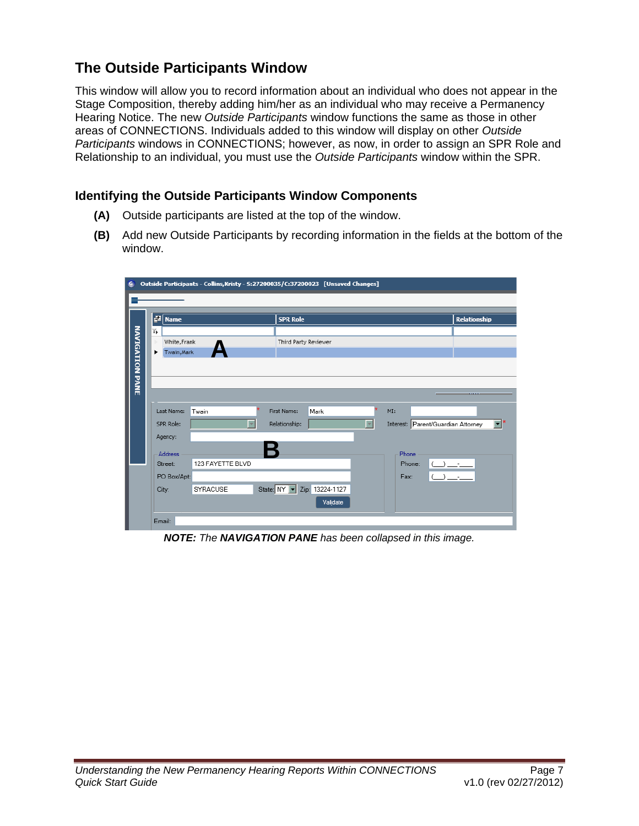## <span id="page-10-0"></span>**The Outside Participants Window**

This window will allow you to record information about an individual who does not appear in the Stage Composition, thereby adding him/her as an individual who may receive a Permanency Hearing Notice. The new *Outside Participants* window functions the same as those in other areas of CONNECTIONS. Individuals added to this window will display on other *Outside Participants* windows in CONNECTIONS; however, as now, in order to assign an SPR Role and Relationship to an individual, you must use the *Outside Participants* window within the SPR.

#### **Identifying the Outside Participants Window Components**

- **(A)** Outside participants are listed at the top of the window.
- **(B)** Add new Outside Participants by recording information in the fields at the bottom of the window.



*NOTE: The NAVIGATION PANE has been collapsed in this image.*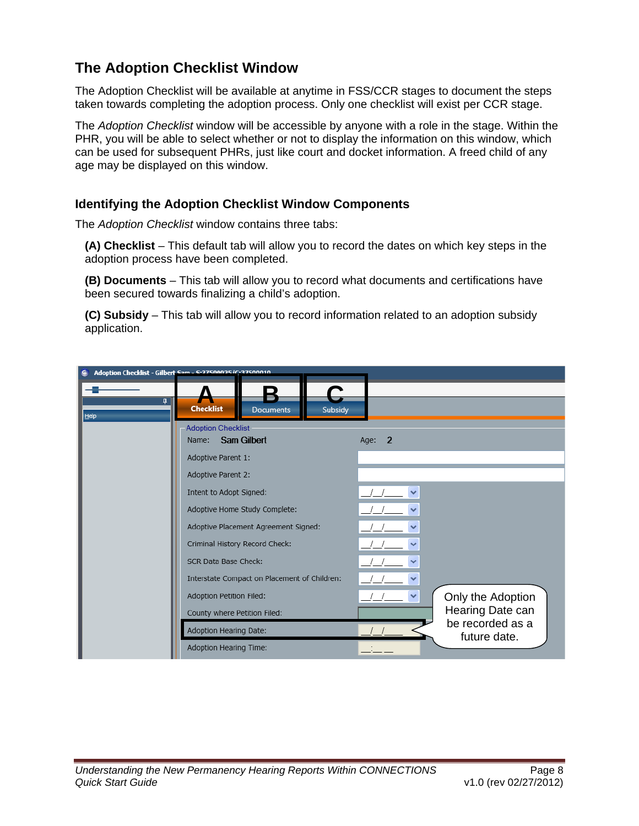### <span id="page-11-0"></span>**The Adoption Checklist Window**

The Adoption Checklist will be available at anytime in FSS/CCR stages to document the steps taken towards completing the adoption process. Only one checklist will exist per CCR stage.

The *Adoption Checklist* window will be accessible by anyone with a role in the stage. Within the PHR, you will be able to select whether or not to display the information on this window, which can be used for subsequent PHRs, just like court and docket information. A freed child of any age may be displayed on this window.

#### **Identifying the Adoption Checklist Window Components**

The *Adoption Checklist* window contains three tabs:

**(A) Checklist** – This default tab will allow you to record the dates on which key steps in the adoption process have been completed.

**(B) Documents** – This tab will allow you to record what documents and certifications have been secured towards finalizing a child's adoption.

**(C) Subsidy** – This tab will allow you to record information related to an adoption subsidy application.

| ⊕                      | Adoption Checklist - Gilbert Sam - S-27500025/C-37500010 |                                   |
|------------------------|----------------------------------------------------------|-----------------------------------|
|                        |                                                          |                                   |
| $\overline{a}$<br>Help | <b>Checklist</b><br>Subsidy<br><b>Documents</b>          |                                   |
|                        | <b>Adoption Checklist</b>                                |                                   |
|                        | <b>Sam Gilbert</b><br>Name:                              | $\overline{2}$<br>Age:            |
|                        | Adoptive Parent 1:                                       |                                   |
|                        | Adoptive Parent 2:                                       |                                   |
|                        | Intent to Adopt Signed:                                  |                                   |
|                        | Adoptive Home Study Complete:                            |                                   |
|                        | Adoptive Placement Agreement Signed:                     |                                   |
|                        | Criminal History Record Check:                           |                                   |
|                        | SCR Data Base Check:                                     |                                   |
|                        | Interstate Compact on Placement of Children:             | ◡                                 |
|                        | Adoption Petition Filed:                                 | Only the Adoption<br>$\checkmark$ |
|                        | County where Petition Filed:                             | Hearing Date can                  |
|                        | Adoption Hearing Date:                                   | be recorded as a<br>future date.  |
|                        | Adoption Hearing Time:                                   |                                   |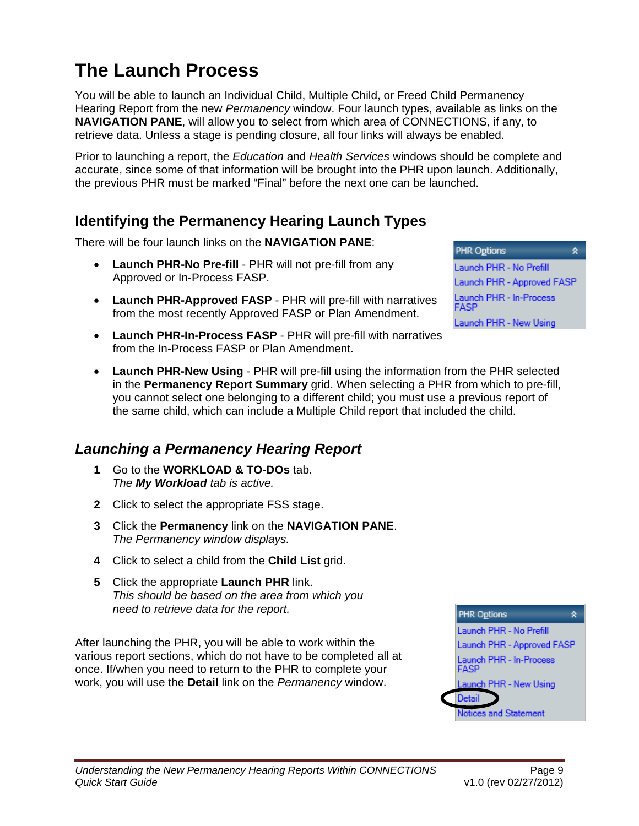# <span id="page-12-0"></span>**The Launch Process**

You will be able to launch an Individual Child, Multiple Child, or Freed Child Permanency Hearing Report from the new *Permanency* window. Four launch types, available as links on the **NAVIGATION PANE**, will allow you to select from which area of CONNECTIONS, if any, to retrieve data. Unless a stage is pending closure, all four links will always be enabled.

Prior to launching a report, the *Education* and *Health Services* windows should be complete and accurate, since some of that information will be brought into the PHR upon launch. Additionally, the previous PHR must be marked "Final" before the next one can be launched.

#### **Identifying the Permanency Hearing Launch Types**

There will be four launch links on the **NAVIGATION PANE**:

- **Launch PHR-No Pre-fill** PHR will not pre-fill from any Approved or In-Process FASP.
- **Launch PHR-Approved FASP** PHR will pre-fill with narratives from the most recently Approved FASP or Plan Amendment.
- **Launch PHR-In-Process FASP** PHR will pre-fill with narratives from the In-Process FASP or Plan Amendment.
- **Launch PHR-New Using** PHR will pre-fill using the information from the PHR selected in the **Permanency Report Summary** grid. When selecting a PHR from which to pre-fill, you cannot select one belonging to a different child; you must use a previous report of the same child, which can include a Multiple Child report that included the child.

## *Launching a Permanency Hearing Report*

- **1** Go to the **WORKLOAD & TO-DOs** tab. *The My Workload tab is active.*
- **2** Click to select the appropriate FSS stage.
- **3** Click the **Permanency** link on the **NAVIGATION PANE**. *The Permanency window displays.*
- **4** Click to select a child from the **Child List** grid.
- **5** Click the appropriate **Launch PHR** link. *This should be based on the area from which you need to retrieve data for the report.*

After launching the PHR, you will be able to work within the various report sections, which do not have to be completed all at once. If/when you need to return to the PHR to complete your work, you will use the **Detail** link on the *Permanency* window.



숏 **PHR Options** Launch PHR - No Prefill Launch PHR - Approved FASP Launch PHR - In-Process FASP Launch PHR - New Using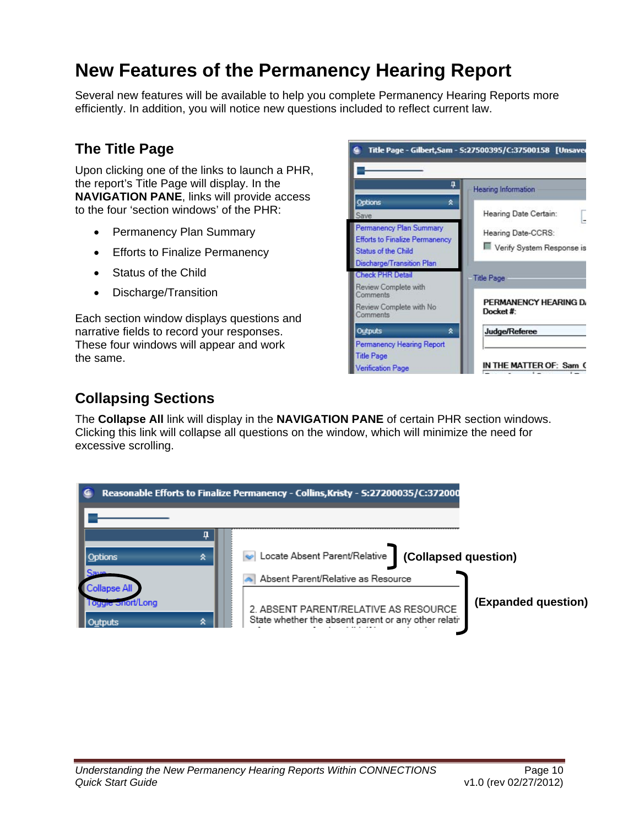# <span id="page-13-0"></span>**New Features of the Permanency Hearing Report**

Several new features will be available to help you complete Permanency Hearing Reports more efficiently. In addition, you will notice new questions included to reflect current law.

### **The Title Page**

Upon clicking one of the links to launch a PHR, the report's Title Page will display. In the **NAVIGATION PANE**, links will provide access to the four 'section windows' of the PHR:

- Permanency Plan Summary
- Efforts to Finalize Permanency
- Status of the Child
- Discharge/Transition

Each section window displays questions and narrative fields to record your responses. These four windows will appear and work the same.



## **Collapsing Sections**

The **Collapse All** link will display in the **NAVIGATION PANE** of certain PHR section windows. Clicking this link will collapse all questions on the window, which will minimize the need for excessive scrolling.

|                                      | Reasonable Efforts to Finalize Permanency - Collins, Kristy - S:27200035/C:372000                                                    |                     |
|--------------------------------------|--------------------------------------------------------------------------------------------------------------------------------------|---------------------|
| ☆<br>Options<br>Save                 | Locate Absent Parent/Relative<br>(Collapsed question)                                                                                |                     |
| llapse Al<br>l oggle Snort/Long<br>ጷ | Absent Parent/Relative as Resource<br>2. ABSENT PARENT/RELATIVE AS RESOURCE<br>State whether the absent parent or any other relating | (Expanded question) |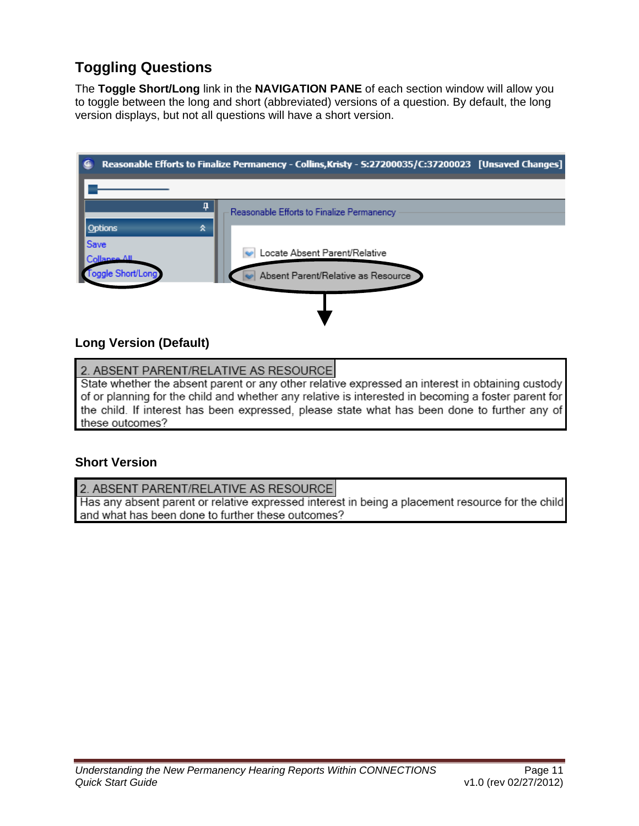# <span id="page-14-0"></span>**Toggling Questions**

The **Toggle Short/Long** link in the **NAVIGATION PANE** of each section window will allow you to toggle between the long and short (abbreviated) versions of a question. By default, the long version displays, but not all questions will have a short version.



#### **Long Version (Default)**

2. ABSENT PARENT/RELATIVE AS RESOURCE

State whether the absent parent or any other relative expressed an interest in obtaining custody of or planning for the child and whether any relative is interested in becoming a foster parent for the child. If interest has been expressed, please state what has been done to further any of these outcomes?

#### **Short Version**

2. ABSENT PARENT/RELATIVE AS RESOURCE Has any absent parent or relative expressed interest in being a placement resource for the child

and what has been done to further these outcomes?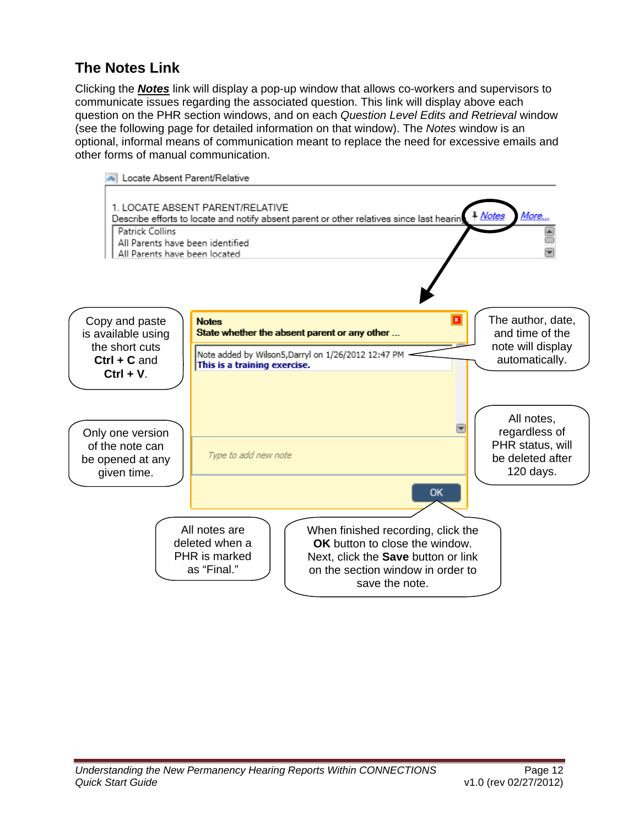# <span id="page-15-0"></span>**The Notes Link**

Clicking the *Notes* link will display a pop-up window that allows co-workers and supervisors to communicate issues regarding the associated question. This link will display above each question on the PHR section windows, and on each *Question Level Edits and Retrieval* window (see the following page for detailed information on that window). The *Notes* window is an optional, informal means of communication meant to replace the need for excessive emails and other forms of manual communication.

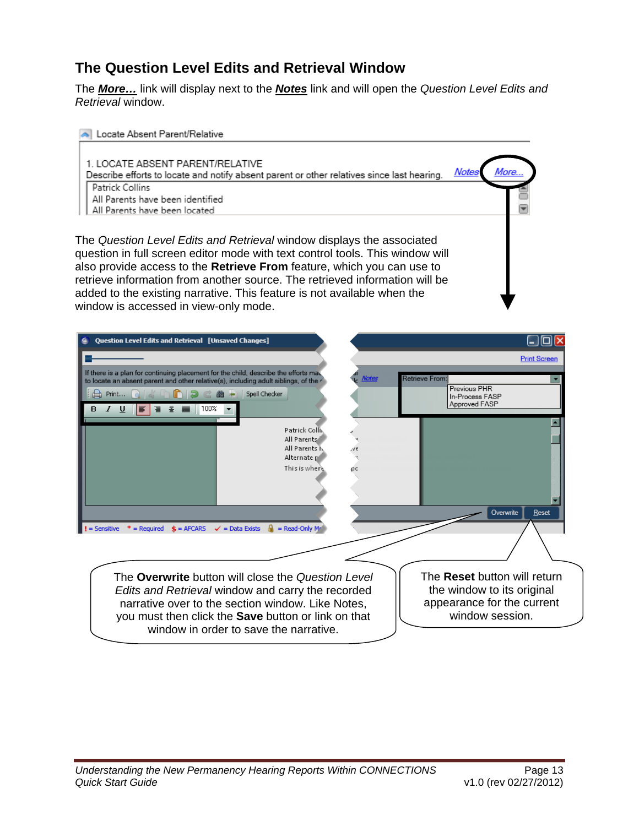## <span id="page-16-0"></span>**The Question Level Edits and Retrieval Window**

The *More…* link will display next to the *Notes* link and will open the *Question Level Edits and Retrieval* window.



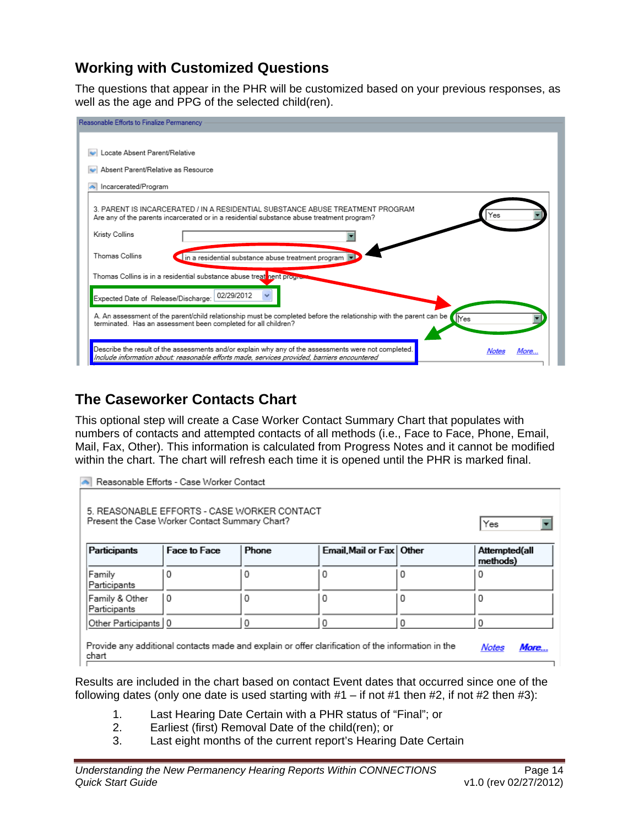#### <span id="page-17-0"></span>**Working with Customized Questions**

The questions that appear in the PHR will be customized based on your previous responses, as well as the age and PPG of the selected child(ren).

| Reasonable Efforts to Finalize Permanency                                                                                                                                                                            |
|----------------------------------------------------------------------------------------------------------------------------------------------------------------------------------------------------------------------|
|                                                                                                                                                                                                                      |
| Locate Absent Parent/Relative                                                                                                                                                                                        |
| Absent Parent/Relative as Resource                                                                                                                                                                                   |
| Incarcerated/Program                                                                                                                                                                                                 |
| 3. PARENT IS INCARCERATED / IN A RESIDENTIAL SUBSTANCE ABUSE TREATMENT PROGRAM.<br>Yes<br>Are any of the parents incarcerated or in a residential substance abuse treatment program?                                 |
| Kristy Collins                                                                                                                                                                                                       |
| Thomas Collins<br>in a residential substance abuse treatment program v                                                                                                                                               |
| Thomas Collins is in a residential substance abuse treat nent progres                                                                                                                                                |
| 02/29/2012<br>Expected Date of Release/Discharge:                                                                                                                                                                    |
| A. An assessment of the parent/child relationship must be completed before the relationship with the parent can be<br><b>Nes</b><br>terminated. Has an assessment been completed for all children?                   |
| Describe the result of the assessments and/or explain why any of the assessments were not completed.<br>More<br>Notes<br>Include information about: reasonable efforts made, services provided, barriers encountered |

### **The Caseworker Contacts Chart**

This optional step will create a Case Worker Contact Summary Chart that populates with numbers of contacts and attempted contacts of all methods (i.e., Face to Face, Phone, Email, Mail, Fax, Other). This information is calculated from Progress Notes and it cannot be modified within the chart. The chart will refresh each time it is opened until the PHR is marked final.

| Reasonable Efforts - Case Worker Contact                                                                                    |   |   |   |   |   |  |  |  |  |
|-----------------------------------------------------------------------------------------------------------------------------|---|---|---|---|---|--|--|--|--|
| 5. REASONABLE EFFORTS - CASE WORKER CONTACT<br>Present the Case Worker Contact Summary Chart?<br>Yes                        |   |   |   |   |   |  |  |  |  |
| Participants<br>Email, Mail or Fax   Other<br>Face to Face<br>Phone<br>Attempted(all<br>methods)                            |   |   |   |   |   |  |  |  |  |
| Family<br>Participants                                                                                                      | Ω | O | 0 | 0 | 0 |  |  |  |  |
| Family & Other<br>Participants                                                                                              | 0 | 0 | 0 | 0 | 0 |  |  |  |  |
| Other Participants   0                                                                                                      |   | 0 | 0 | 0 | 0 |  |  |  |  |
| Provide any additional contacts made and explain or offer clarification of the information in the<br>More<br>Notes<br>chart |   |   |   |   |   |  |  |  |  |

Results are included in the chart based on contact Event dates that occurred since one of the following dates (only one date is used starting with  $#1 - if$  not  $#1$  then  $#2$ , if not  $#2$  then  $#3$ ):

- 1. Last Hearing Date Certain with a PHR status of "Final"; or
- 2. Earliest (first) Removal Date of the child(ren); or
- 3. Last eight months of the current report's Hearing Date Certain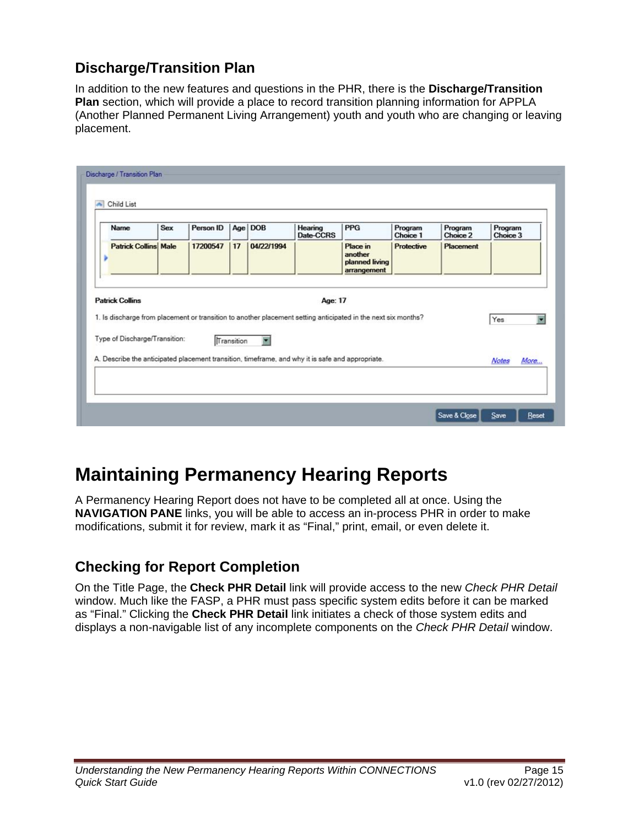## <span id="page-18-0"></span>**Discharge/Transition Plan**

In addition to the new features and questions in the PHR, there is the **Discharge/Transition Plan** section, which will provide a place to record transition planning information for APPLA (Another Planned Permanent Living Arrangement) youth and youth who are changing or leaving placement.

| <b>Patrick Collins Male</b> |          |                               |            | Date-CCRS  |                                                      | Choice 1                                                                                                    | Choice 2                                                                                                      | Choice 3 |                     |
|-----------------------------|----------|-------------------------------|------------|------------|------------------------------------------------------|-------------------------------------------------------------------------------------------------------------|---------------------------------------------------------------------------------------------------------------|----------|---------------------|
|                             | 17200547 | 17                            | 04/22/1994 |            | Place in<br>another<br>planned living<br>arrangement | Protective                                                                                                  | Placement                                                                                                     |          |                     |
| <b>Patrick Collins</b>      |          |                               |            |            |                                                      |                                                                                                             |                                                                                                               |          |                     |
|                             |          |                               |            |            |                                                      |                                                                                                             |                                                                                                               |          |                     |
|                             |          |                               |            |            |                                                      |                                                                                                             |                                                                                                               |          | More                |
|                             |          | Type of Discharge/Transition: |            | Transition |                                                      | Age: 17<br>A. Describe the anticipated placement transition, timeframe, and why it is safe and appropriate. | 1. Is discharge from placement or transition to another placement setting anticipated in the next six months? |          | Yes<br><b>Notes</b> |

# **Maintaining Permanency Hearing Reports**

A Permanency Hearing Report does not have to be completed all at once. Using the **NAVIGATION PANE** links, you will be able to access an in-process PHR in order to make modifications, submit it for review, mark it as "Final," print, email, or even delete it.

## **Checking for Report Completion**

On the Title Page, the **Check PHR Detail** link will provide access to the new *Check PHR Detail* window. Much like the FASP, a PHR must pass specific system edits before it can be marked as "Final." Clicking the **Check PHR Detail** link initiates a check of those system edits and displays a non-navigable list of any incomplete components on the *Check PHR Detail* window.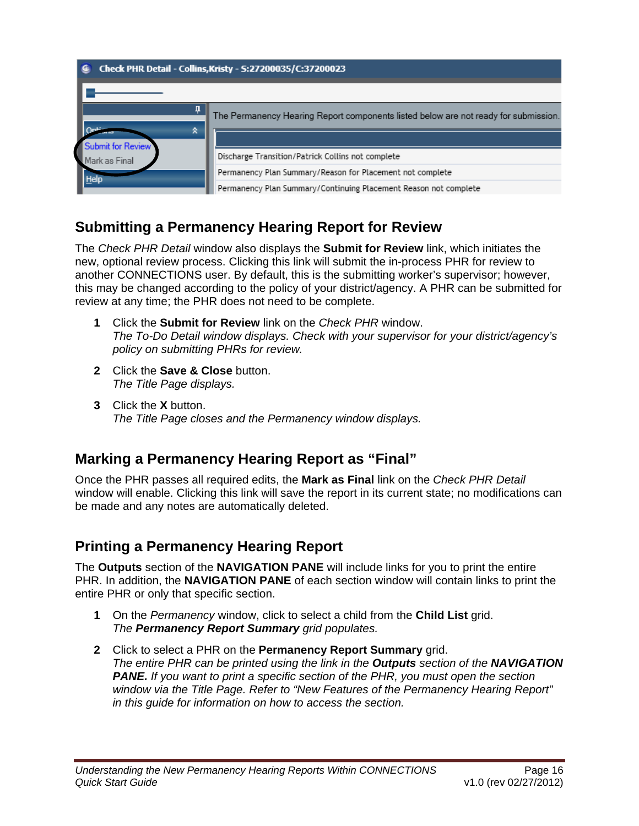<span id="page-19-0"></span>

### **Submitting a Permanency Hearing Report for Review**

The *Check PHR Detail* window also displays the **Submit for Review** link, which initiates the new, optional review process. Clicking this link will submit the in-process PHR for review to another CONNECTIONS user. By default, this is the submitting worker's supervisor; however, this may be changed according to the policy of your district/agency. A PHR can be submitted for review at any time; the PHR does not need to be complete.

- **1** Click the **Submit for Review** link on the *Check PHR* window. *The To-Do Detail window displays. Check with your supervisor for your district/agency's policy on submitting PHRs for review.*
- **2** Click the **Save & Close** button. *The Title Page displays.*
- **3** Click the **X** button. *The Title Page closes and the Permanency window displays.*

#### **Marking a Permanency Hearing Report as "Final"**

Once the PHR passes all required edits, the **Mark as Final** link on the *Check PHR Detail*  window will enable. Clicking this link will save the report in its current state; no modifications can be made and any notes are automatically deleted.

## **Printing a Permanency Hearing Report**

The **Outputs** section of the **NAVIGATION PANE** will include links for you to print the entire PHR. In addition, the **NAVIGATION PANE** of each section window will contain links to print the entire PHR or only that specific section.

- **1** On the *Permanency* window, click to select a child from the **Child List** grid. *The Permanency Report Summary grid populates.*
- **2** Click to select a PHR on the **Permanency Report Summary** grid. *The entire PHR can be printed using the link in the Outputs section of the NAVIGATION PANE. If you want to print a specific section of the PHR, you must open the section window via the Title Page. Refer to "New Features of the Permanency Hearing Report" in this guide for information on how to access the section.*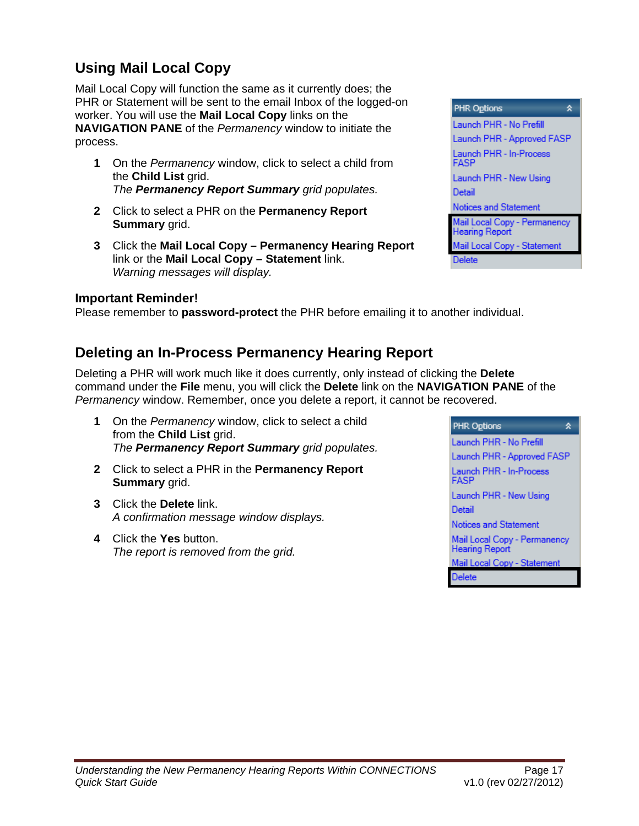# <span id="page-20-0"></span>**Using Mail Local Copy**

Mail Local Copy will function the same as it currently does; the PHR or Statement will be sent to the email Inbox of the logged-on worker. You will use the **Mail Local Copy** links on the **NAVIGATION PANE** of the *Permanency* window to initiate the process.

- **1** On the *Permanency* window, click to select a child from the **Child List** grid. *The Permanency Report Summary grid populates.*
- **2** Click to select a PHR on the **Permanency Report Summary** grid.
- **3** Click the **Mail Local Copy Permanency Hearing Report** link or the **Mail Local Copy – Statement** link. *Warning messages will display.*

#### **Important Reminder!**

Please remember to **password-protect** the PHR before emailing it to another individual.

#### **Deleting an In-Process Permanency Hearing Report**

Deleting a PHR will work much like it does currently, only instead of clicking the **Delete** command under the **File** menu, you will click the **Delete** link on the **NAVIGATION PANE** of the *Permanency* window. Remember, once you delete a report, it cannot be recovered.

- **1** On the *Permanency* window, click to select a child from the **Child List** grid. *The Permanency Report Summary grid populates.*
- **2** Click to select a PHR in the **Permanency Report Summary** grid.
- **3** Click the **Delete** link. *A confirmation message window displays.*
- **4** Click the **Yes** button. *The report is removed from the grid.*



| <b>PHR Options</b>                                    |
|-------------------------------------------------------|
| Launch PHR - No Prefill                               |
| Launch PHR - Approved FASP                            |
| Launch PHR - In-Process<br>FASP                       |
| Launch PHR - New Using                                |
| Detail                                                |
| Notices and Statement                                 |
| Mail Local Copy - Permanency<br><b>Hearing Report</b> |
| Mail Local Copy - Statement                           |
| <b>Delete</b>                                         |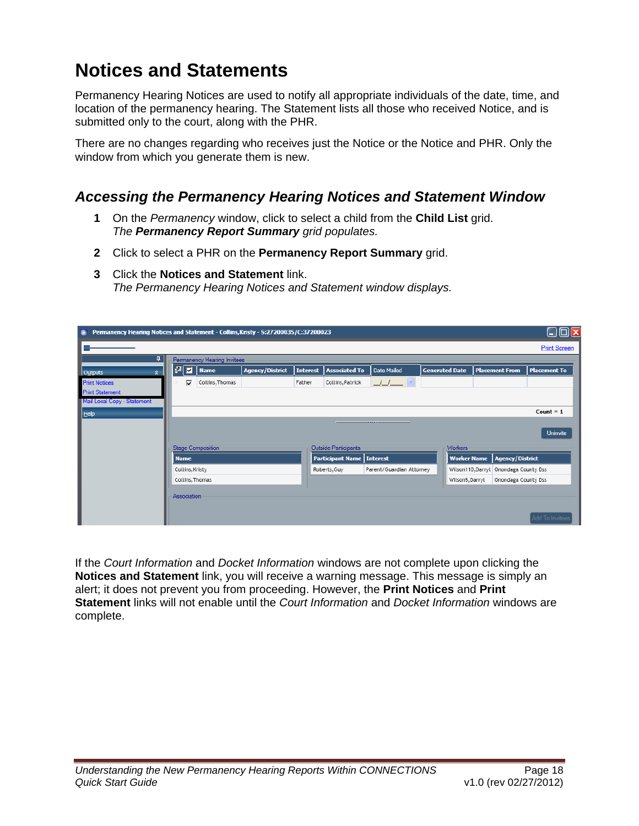# <span id="page-21-0"></span>**Notices and Statements**

Permanency Hearing Notices are used to notify all appropriate individuals of the date, time, and location of the permanency hearing. The Statement lists all those who received Notice, and is submitted only to the court, along with the PHR.

There are no changes regarding who receives just the Notice or the Notice and PHR. Only the window from which you generate them is new.

#### *Accessing the Permanency Hearing Notices and Statement Window*

- **1** On the *Permanency* window, click to select a child from the **Child List** grid. *The Permanency Report Summary grid populates.*
- **2** Click to select a PHR on the **Permanency Report Summary** grid.
- **3** Click the **Notices and Statement** link. *The Permanency Hearing Notices and Statement window displays.*

| Permanency Hearing Notices and Statement - Collins, Kristy - S:27200035/C:37200023<br>€ |             |                             |                        |                 |                                    |                          |                       |                        |                     |  |
|-----------------------------------------------------------------------------------------|-------------|-----------------------------|------------------------|-----------------|------------------------------------|--------------------------|-----------------------|------------------------|---------------------|--|
|                                                                                         |             |                             |                        |                 |                                    |                          |                       |                        | <b>Print Screen</b> |  |
| ą.                                                                                      |             | Permanency Hearing Invitees |                        |                 |                                    |                          |                       |                        |                     |  |
| Outputs<br>$\hat{\mathbf{x}}$                                                           | 80 E        | <b>Name</b>                 | <b>Agency/District</b> | <b>Interest</b> | <b>Associated To</b>               | Date Mailed              | <b>Generated Date</b> | <b>Placement From</b>  | <b>Placement To</b> |  |
| <b>Print Notices</b>                                                                    | ঢ়          | Collins, Thomas             |                        | Father          | Collins, Patrick                   | _/_/___                  |                       |                        |                     |  |
| <b>Print Statement</b>                                                                  |             |                             |                        |                 |                                    |                          |                       |                        |                     |  |
| Mail Local Copy - Statement                                                             |             |                             |                        |                 |                                    |                          |                       |                        |                     |  |
| <b>Help</b>                                                                             |             |                             |                        |                 |                                    |                          |                       |                        | Count $= 1$         |  |
|                                                                                         |             |                             |                        |                 |                                    | ------                   |                       |                        | Uninvite            |  |
|                                                                                         |             |                             |                        |                 |                                    |                          |                       |                        |                     |  |
|                                                                                         |             | <b>Stage Composition</b>    |                        |                 | Outside Participants               |                          | Workers               |                        |                     |  |
|                                                                                         | <b>Name</b> |                             |                        |                 | <b>Participant Name   Interest</b> |                          | <b>Worker Name</b>    | <b>Agency/District</b> |                     |  |
|                                                                                         |             | Collins, Kristy             |                        |                 | Roberts, Guy                       | Parent/Guardian Attorney | Wilson110, Darryl     | Onondaga County Dss    |                     |  |
|                                                                                         |             | Collins, Thomas             |                        |                 |                                    |                          | Wilson5, Darryl       | Onondaga County Dss    |                     |  |
|                                                                                         | Association |                             |                        |                 |                                    |                          |                       |                        |                     |  |
|                                                                                         |             |                             |                        |                 |                                    |                          |                       |                        |                     |  |
|                                                                                         |             |                             |                        |                 |                                    |                          |                       |                        | Add To Invitees     |  |

If the *Court Information* and *Docket Information* windows are not complete upon clicking the **Notices and Statement** link, you will receive a warning message. This message is simply an alert; it does not prevent you from proceeding. However, the **Print Notices** and **Print Statement** links will not enable until the *Court Information* and *Docket Information* windows are complete.